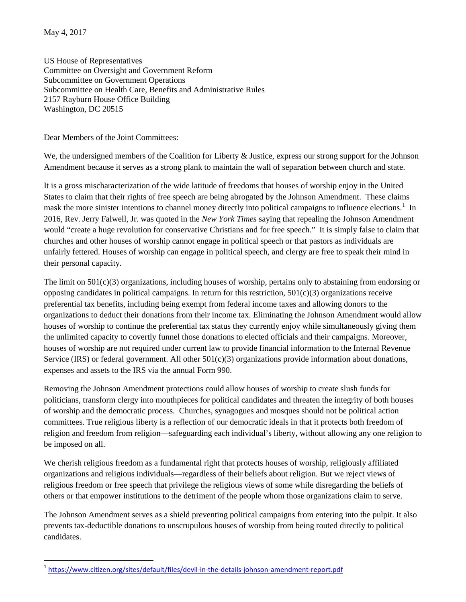May 4, 2017

US House of Representatives Committee on Oversight and Government Reform Subcommittee on Government Operations Subcommittee on Health Care, Benefits and Administrative Rules 2157 Rayburn House Office Building Washington, DC 20515

Dear Members of the Joint Committees:

We, the undersigned members of the Coalition for Liberty & Justice, express our strong support for the Johnson Amendment because it serves as a strong plank to maintain the wall of separation between church and state.

It is a gross mischaracterization of the wide latitude of freedoms that houses of worship enjoy in the United States to claim that their rights of free speech are being abrogated by the Johnson Amendment. These claims mask the more sinister intentions to channel money directly into political campaigns to influence elections.<sup>[1](#page-0-0)</sup> In 2016, Rev. Jerry Falwell, Jr. was quoted in the *New York Times* saying that repealing the Johnson Amendment would "create a huge revolution for conservative Christians and for free speech." It is simply false to claim that churches and other houses of worship cannot engage in political speech or that pastors as individuals are unfairly fettered. Houses of worship can engage in political speech, and clergy are free to speak their mind in their personal capacity.

The limit on 501(c)(3) organizations, including houses of worship, pertains only to abstaining from endorsing or opposing candidates in political campaigns. In return for this restriction,  $501(c)(3)$  organizations receive preferential tax benefits, including being exempt from federal income taxes and allowing donors to the organizations to deduct their donations from their income tax. Eliminating the Johnson Amendment would allow houses of worship to continue the preferential tax status they currently enjoy while simultaneously giving them the unlimited capacity to covertly funnel those donations to elected officials and their campaigns. Moreover, houses of worship are not required under current law to provide financial information to the Internal Revenue Service (IRS) or federal government. All other  $501(c)(3)$  organizations provide information about donations, expenses and assets to the IRS via the annual Form 990.

Removing the Johnson Amendment protections could allow houses of worship to create slush funds for politicians, transform clergy into mouthpieces for political candidates and threaten the integrity of both houses of worship and the democratic process. Churches, synagogues and mosques should not be political action committees. True religious liberty is a reflection of our democratic ideals in that it protects both freedom of religion and freedom from religion—safeguarding each individual's liberty, without allowing any one religion to be imposed on all.

We cherish religious freedom as a fundamental right that protects houses of worship, religiously affiliated organizations and religious individuals—regardless of their beliefs about religion. But we reject views of religious freedom or free speech that privilege the religious views of some while disregarding the beliefs of others or that empower institutions to the detriment of the people whom those organizations claim to serve.

The Johnson Amendment serves as a shield preventing political campaigns from entering into the pulpit. It also prevents tax-deductible donations to unscrupulous houses of worship from being routed directly to political candidates.

<span id="page-0-0"></span> <sup>1</sup> <https://www.citizen.org/sites/default/files/devil-in-the-details-johnson-amendment-report.pdf>